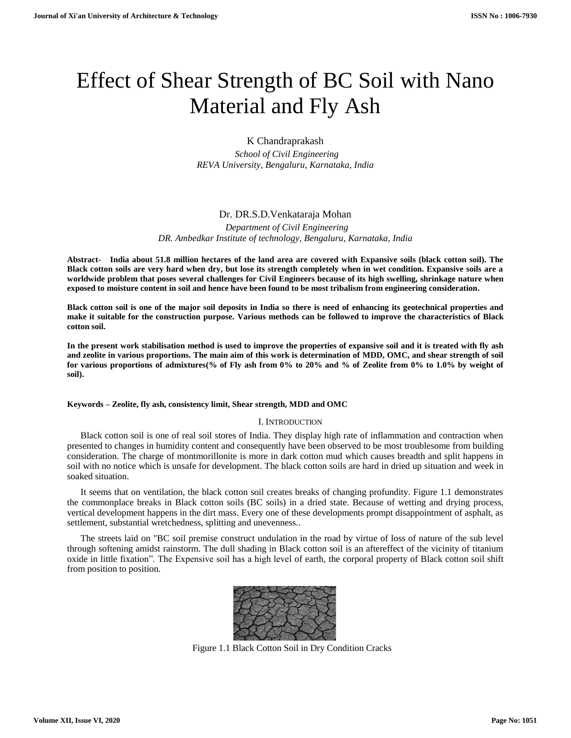# Effect of Shear Strength of BC Soil with Nano Material and Fly Ash

## K Chandraprakash

 *School of Civil Engineering REVA University, Bengaluru, Karnataka, India*

# Dr. DR.S.D.Venkataraja Mohan

 *Department of Civil Engineering DR. Ambedkar Institute of technology, Bengaluru, Karnataka, India*

**Abstract- India about 51.8 million hectares of the land area are covered with Expansive soils (black cotton soil). The Black cotton soils are very hard when dry, but lose its strength completely when in wet condition. Expansive soils are a worldwide problem that poses several challenges for Civil Engineers because of its high swelling, shrinkage nature when exposed to moisture content in soil and hence have been found to be most tribalism from engineering consideration.**

**Black cotton soil is one of the major soil deposits in India so there is need of enhancing its geotechnical properties and make it suitable for the construction purpose. Various methods can be followed to improve the characteristics of Black cotton soil.**

**In the present work stabilisation method is used to improve the properties of expansive soil and it is treated with fly ash and zeolite in various proportions. The main aim of this work is determination of MDD, OMC, and shear strength of soil for various proportions of admixtures(% of Fly ash from 0% to 20% and % of Zeolite from 0% to 1.0% by weight of soil).**

#### **Keywords – Zeolite, fly ash, consistency limit, Shear strength, MDD and OMC**

#### I. INTRODUCTION

Black cotton soil is one of real soil stores of India. They display high rate of inflammation and contraction when presented to changes in humidity content and consequently have been observed to be most troublesome from building consideration. The charge of montmorillonite is more in dark cotton mud which causes breadth and split happens in soil with no notice which is unsafe for development. The black cotton soils are hard in dried up situation and week in soaked situation.

It seems that on ventilation, the black cotton soil creates breaks of changing profundity. Figure 1.1 demonstrates the commonplace breaks in Black cotton soils (BC soils) in a dried state. Because of wetting and drying process, vertical development happens in the dirt mass. Every one of these developments prompt disappointment of asphalt, as settlement, substantial wretchedness, splitting and unevenness..

The streets laid on "BC soil premise construct undulation in the road by virtue of loss of nature of the sub level through softening amidst rainstorm. The dull shading in Black cotton soil is an aftereffect of the vicinity of titanium oxide in little fixation". The Expensive soil has a high level of earth, the corporal property of Black cotton soil shift from position to position.



Figure 1.1 Black Cotton Soil in Dry Condition Cracks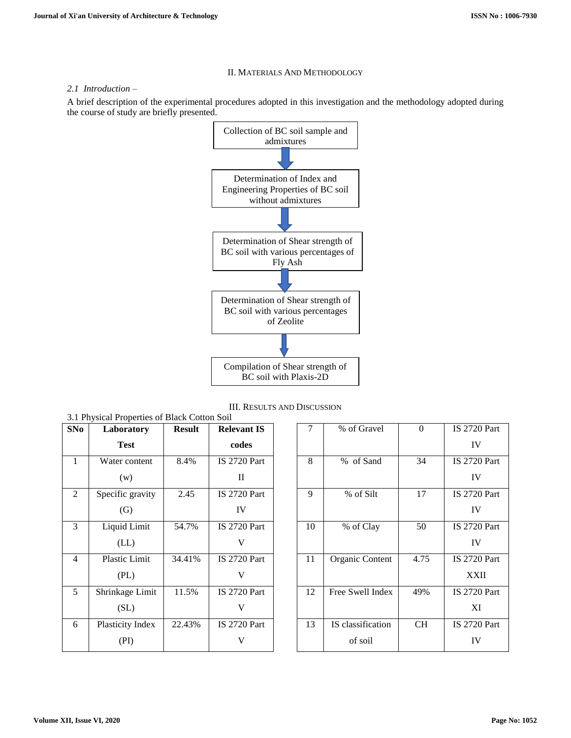## II. MATERIALS AND METHODOLOGY

### *2.1 Introduction –*

A brief description of the experimental procedures adopted in this investigation and the methodology adopted during the course of study are briefly presented.



III. RESULTS AND DISCUSSION

| SNo            | Laboratory           | <b>Result</b> | <b>Relevant IS</b>  |
|----------------|----------------------|---------------|---------------------|
|                | <b>Test</b>          |               | codes               |
| $\mathbf{1}$   | Water content        | 8.4%          | <b>IS 2720 Part</b> |
|                | (w)                  |               | П                   |
| $\overline{2}$ | Specific gravity     | 2.45          | IS 2720 Part        |
|                | $\left( G\right)$    |               | IV                  |
| 3              | Liquid Limit         | 54.7%         | <b>IS 2720 Part</b> |
|                | (LL)                 |               |                     |
| $\overline{4}$ | <b>Plastic Limit</b> | 34.41%        | <b>IS 2720 Part</b> |
|                | (PL)                 |               | V                   |
| 5              | Shrinkage Limit      | 11.5%         | <b>IS 2720 Part</b> |
|                | (SL)                 |               |                     |
| 6              | Plasticity Index     | 22.43%        | <b>IS 2720 Part</b> |
|                | (PI)                 |               |                     |

| 7  | % of Gravel       | 0         | <b>IS 2720 Part</b> |
|----|-------------------|-----------|---------------------|
|    |                   |           | IV                  |
| 8  | % of Sand         | 34        | <b>IS 2720 Part</b> |
|    |                   |           | IV                  |
| 9  | % of Silt         | 17        | IS 2720 Part        |
|    |                   |           | IV                  |
| 10 | % of Clay         | 50        | <b>IS 2720 Part</b> |
|    |                   |           | IV                  |
| 11 | Organic Content   | 4.75      | <b>IS 2720 Part</b> |
|    |                   |           | <b>XXII</b>         |
| 12 | Free Swell Index  | 49%       | <b>IS 2720 Part</b> |
|    |                   |           | XI                  |
| 13 | IS classification | <b>CH</b> | <b>IS 2720 Part</b> |
|    | of soil           |           | IV                  |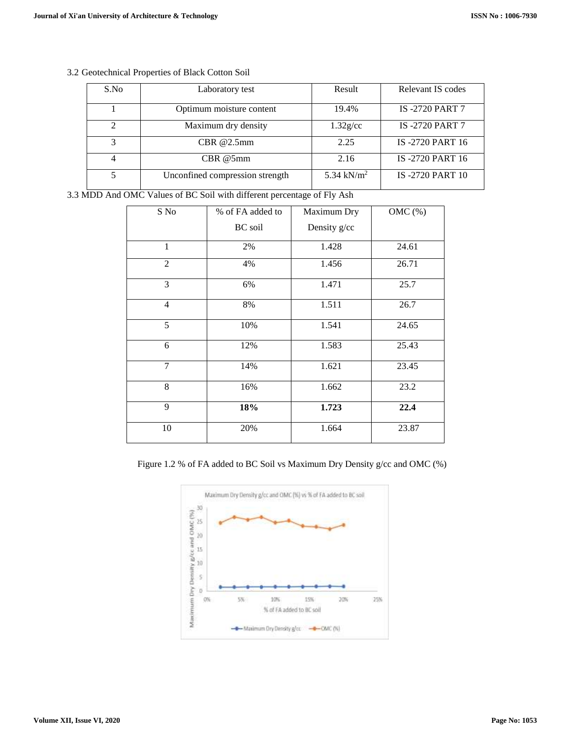| S.No          | Laboratory test                 | Result                 | Relevant IS codes      |
|---------------|---------------------------------|------------------------|------------------------|
|               | Optimum moisture content        | 19.4%                  | <b>IS-2720 PART 7</b>  |
| $\mathcal{D}$ | Maximum dry density             | $1.32$ g/cc            | <b>IS-2720 PART 7</b>  |
| 3             | CBR@2.5mm                       | 2.25                   | IS-2720 PART 16        |
|               | CBR @5mm                        | 2.16                   | IS-2720 PART 16        |
|               | Unconfined compression strength | 5.34 kN/m <sup>2</sup> | <b>IS-2720 PART 10</b> |

# 3.2 Geotechnical Properties of Black Cotton Soil

3.3 MDD And OMC Values of BC Soil with different percentage of Fly Ash

| S No           | % of FA added to | Maximum Dry  | $OMC$ $%$ |
|----------------|------------------|--------------|-----------|
|                | <b>BC</b> soil   | Density g/cc |           |
| 1              | 2%               | 1.428        | 24.61     |
| $\overline{c}$ | 4%               | 1.456        | 26.71     |
| 3              | 6%               | 1.471        | 25.7      |
| $\overline{4}$ | 8%               | 1.511        | 26.7      |
| 5              | 10%              | 1.541        | 24.65     |
| 6              | 12%              | 1.583        | 25.43     |
| 7              | 14%              | 1.621        | 23.45     |
| 8              | 16%              | 1.662        | 23.2      |
| 9              | 18%              | 1.723        | 22.4      |
| 10             | 20%              | 1.664        | 23.87     |

Figure 1.2 % of FA added to BC Soil vs Maximum Dry Density g/cc and OMC (%)

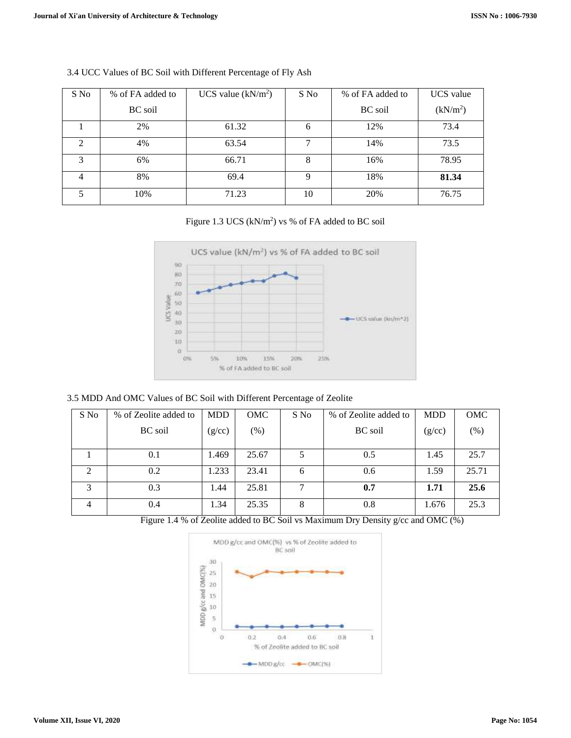| S No | % of FA added to | UCS value $(kN/m^2)$ | S No | % of FA added to | UCS value            |
|------|------------------|----------------------|------|------------------|----------------------|
|      | <b>BC</b> soil   |                      |      | <b>BC</b> soil   | (kN/m <sup>2</sup> ) |
|      | 2%               | 61.32                | 6    | 12%              | 73.4                 |
| 2    | 4%               | 63.54                |      | 14%              | 73.5                 |
| 3    | 6%               | 66.71                | 8    | 16%              | 78.95                |
| 4    | 8%               | 69.4                 | q    | 18%              | 81.34                |
|      | 10%              | 71.23                | 10   | 20%              | 76.75                |

## 3.4 UCC Values of BC Soil with Different Percentage of Fly Ash

# Figure 1.3 UCS  $(kN/m^2)$  vs % of FA added to BC soil



## 3.5 MDD And OMC Values of BC Soil with Different Percentage of Zeolite

| S No | % of Zeolite added to | <b>MDD</b> | <b>OMC</b> | S No | % of Zeolite added to | <b>MDD</b> | OMC   |
|------|-----------------------|------------|------------|------|-----------------------|------------|-------|
|      | <b>BC</b> soil        | (g/cc)     | $(\%)$     |      | <b>BC</b> soil        | (g/cc)     | (% )  |
|      |                       |            |            |      |                       |            |       |
|      | 0.1                   | 1.469      | 25.67      |      | 0.5                   | 1.45       | 25.7  |
| 2    | 0.2                   | 1.233      | 23.41      | 6    | 0.6                   | 1.59       | 25.71 |
| 3    | 0.3                   | 1.44       | 25.81      | ┑    | 0.7                   | 1.71       | 25.6  |
| 4    | 0.4                   | 1.34       | 25.35      | 8    | 0.8                   | 1.676      | 25.3  |

Figure 1.4 % of Zeolite added to BC Soil vs Maximum Dry Density g/cc and OMC (%)

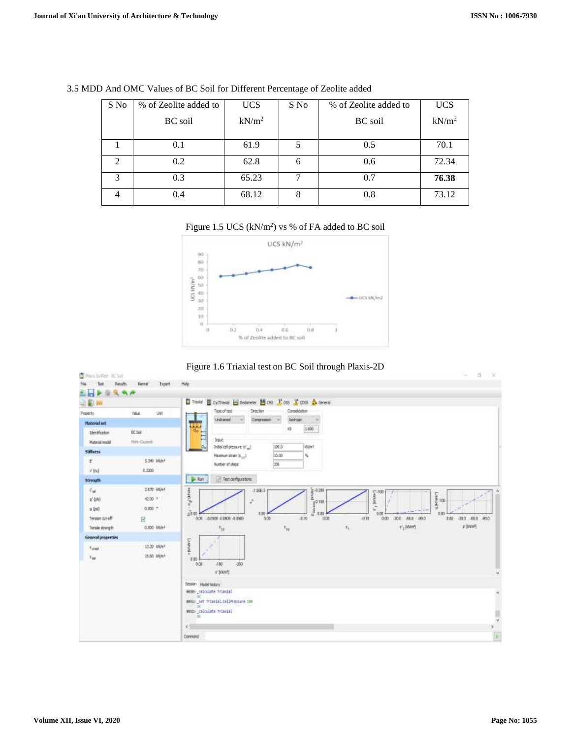| S No           | % of Zeolite added to | <b>UCS</b>        | S No | % of Zeolite added to | <b>UCS</b>        |
|----------------|-----------------------|-------------------|------|-----------------------|-------------------|
|                | <b>BC</b> soil        | kN/m <sup>2</sup> |      | <b>BC</b> soil        | kN/m <sup>2</sup> |
|                | 0.1                   | 61.9              | 5    | 0.5                   | 70.1              |
| $\mathfrak{D}$ | 0.2                   | 62.8              | 6    | 0.6                   | 72.34             |
| 3              | 0.3                   | 65.23             | ¬    | 0.7                   | 76.38             |
|                | 0.4                   | 68.12             | 8    | 0.8                   | 73.12             |

3.5 MDD And OMC Values of BC Soil for Different Percentage of Zeolite added

### Figure 1.5 UCS  $(kN/m^2)$  vs % of FA added to BC soil





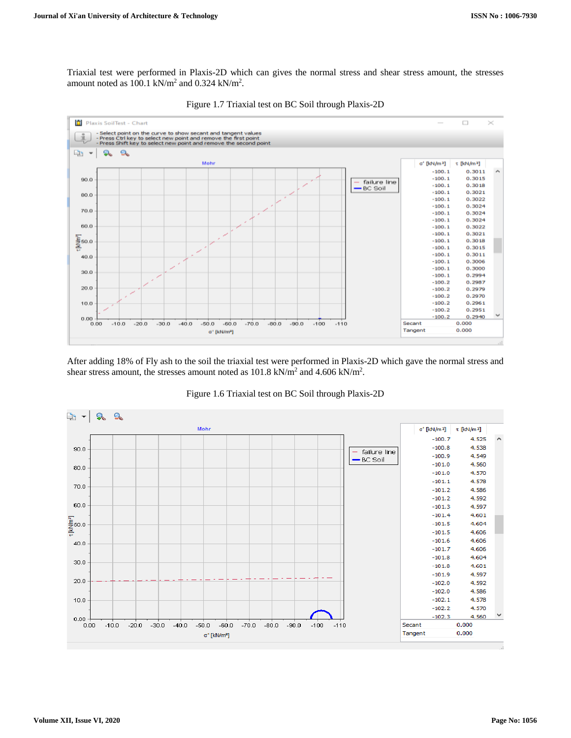Triaxial test were performed in Plaxis-2D which can gives the normal stress and shear stress amount, the stresses amount noted as  $100.1 \text{ kN/m}^2$  and  $0.324 \text{ kN/m}^2$ .



Figure 1.7 Triaxial test on BC Soil through Plaxis-2D

After adding 18% of Fly ash to the soil the triaxial test were performed in Plaxis-2D which gave the normal stress and shear stress amount, the stresses amount noted as  $101.8 \text{ kN/m}^2$  and  $4.606 \text{ kN/m}^2$ .



Figure 1.6 Triaxial test on BC Soil through Plaxis-2D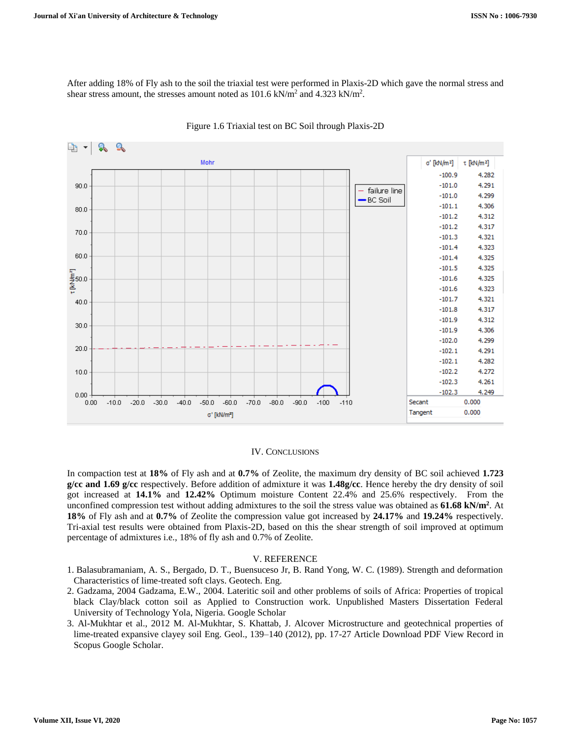After adding 18% of Fly ash to the soil the triaxial test were performed in Plaxis-2D which gave the normal stress and shear stress amount, the stresses amount noted as  $101.6 \text{ kN/m}^2$  and  $4.323 \text{ kN/m}^2$ .



#### Figure 1.6 Triaxial test on BC Soil through Plaxis-2D

#### IV. CONCLUSIONS

In compaction test at **18%** of Fly ash and at **0.7%** of Zeolite, the maximum dry density of BC soil achieved **1.723 g/cc and 1.69 g/cc** respectively. Before addition of admixture it was **1.48g/cc**. Hence hereby the dry density of soil got increased at **14.1%** and **12.42%** Optimum moisture Content 22.4% and 25.6% respectively. From the unconfined compression test without adding admixtures to the soil the stress value was obtained as **61.68 kN/m<sup>2</sup>** . At **18%** of Fly ash and at **0.7%** of Zeolite the compression value got increased by **24.17%** and **19.24%** respectively. Tri-axial test results were obtained from Plaxis-2D, based on this the shear strength of soil improved at optimum percentage of admixtures i.e., 18% of fly ash and 0.7% of Zeolite.

#### V. REFERENCE

- 1. Balasubramaniam, A. S., Bergado, D. T., Buensuceso Jr, B. Rand Yong, W. C. (1989). Strength and deformation Characteristics of lime-treated soft clays. Geotech. Eng.
- 2. [Gadzama, 2004](https://www.sciencedirect.com/science/article/pii/S0038080618302087#bb0075) Gadzama, E.W., 2004. Lateritic soil and other problems of soils of Africa: Properties of tropical black Clay/black cotton soil as Applied to Construction work. Unpublished Masters Dissertation Federal University of Technology Yola, Nigeria. [Google Scholar](https://scholar.google.com/scholar?q=Gadzama,%20E.W.,%202004.%20Lateritic%20soil%20and%20other%20problems%20of%20soils%20of%20Africa:%20Properties%20of%20tropical%20black%20Clayblack%20cotton%20soil%20as%20Applied%20to%20Construction%20work.%20Unpublished%20Masters%20Dissertation%20Federal%20University%20of%20Technology%20Yola,%20Nigeria.)
- 3. [Al-Mukhtar et al., 2012](https://www.sciencedirect.com/science/article/pii/S0038080618302087#bb0015) M. Al-Mukhtar, S. Khattab, J. Alcover Microstructure and geotechnical properties of lime-treated expansive clayey soil Eng. Geol., 139–140 (2012), pp. 17-27 [Article](https://www.sciencedirect.com/science/article/pii/S0013795212001433) [Download PDF](https://www.sciencedirect.com/science/article/pii/S0013795212001433/pdfft?md5=afaa8390f56f40c68edf4d685bf9fc6f&pid=1-s2.0-S0013795212001433-main.pdf) [View Record in](https://www.scopus.com/inward/record.url?eid=2-s2.0-84860822455&partnerID=10&rel=R3.0.0)  [Scopus](https://www.scopus.com/inward/record.url?eid=2-s2.0-84860822455&partnerID=10&rel=R3.0.0) [Google Scholar.](https://scholar.google.com/scholar_lookup?title=Microstructure%20and%20geotechnical%20properties%20of%20lime-treated%20expansive%20clayey%20soil&publication_year=2012&author=M.%20Al-Mukhtar&author=S.%20Khattab&author=J.%20Alcover)